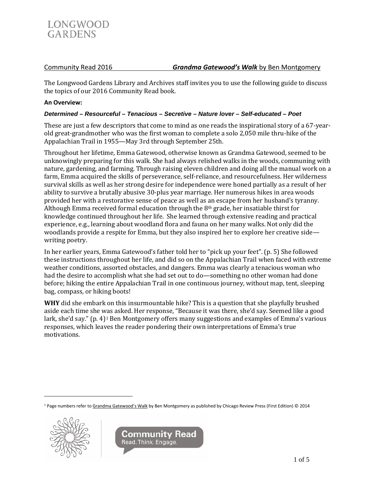

Community Read 2016 *Grandma Gatewood's Walk* by Ben Montgomery

The Longwood Gardens Library and Archives staff invites you to use the following guide to discuss the topics of our 2016 Community Read book.

### **An Overview:**

## *Determined – Resourceful – Tenacious – Secretive – Nature lover – Self-educated – Poet*

These are just a few descriptors that come to mind as one reads the inspirational story of a 67-yearold great-grandmother who was the first woman to complete a solo 2,050 mile thru-hike of the Appalachian Trail in 1955—May 3rd through September 25th.

Throughout her lifetime, Emma Gatewood, otherwise known as Grandma Gatewood, seemed to be unknowingly preparing for this walk. She had always relished walks in the woods, communing with nature, gardening, and farming. Through raising eleven children and doing all the manual work on a farm, Emma acquired the skills of perseverance, self-reliance, and resourcefulness. Her wilderness survival skills as well as her strong desire for independence were honed partially as a result of her ability to survive a brutally abusive 30-plus year marriage. Her numerous hikes in area woods provided her with a restorative sense of peace as well as an escape from her husband's tyranny. Although Emma received formal education through the  $8<sup>th</sup>$  grade, her insatiable thirst for knowledge continued throughout her life. She learned through extensive reading and practical experience, e.g., learning about woodland flora and fauna on her many walks. Not only did the woodlands provide a respite for Emma, but they also inspired her to explore her creative side writing poetry.

In her earlier years, Emma Gatewood's father told her to "pick up your feet". (p. 5) She followed these instructions throughout her life, and did so on the Appalachian Trail when faced with extreme weather conditions, assorted obstacles, and dangers. Emma was clearly a tenacious woman who had the desire to accomplish what she had set out to do—something no other woman had done before; hiking the entire Appalachian Trail in one continuous journey, without map, tent, sleeping bag, compass, or hiking boots!

**WHY** did she embark on this insurmountable hike? This is a question that she playfully brushed aside each time she [wa](#page-0-0)s asked. Her response, "Because it was there, she'd say. Seemed like a good lark, she'd say." (p. 4)<sup>1</sup> Ben Montgomery offers many suggestions and examples of Emma's various responses, which leaves the reader pondering their own interpretations of Emma's true motivations.

<span id="page-0-0"></span><sup>&</sup>lt;sup>1</sup> Page numbers refer to Grandma Gatewood's Walk by Ben Montgomery as published by Chicago Review Press (First Edition) © 2014



j

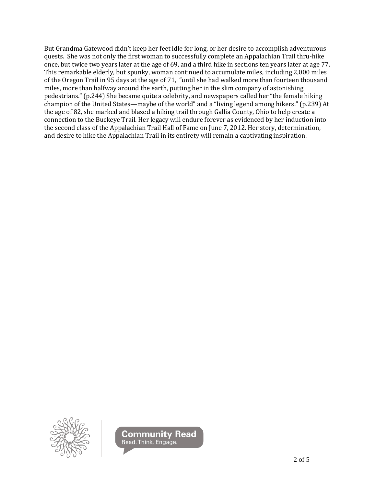But Grandma Gatewood didn't keep her feet idle for long, or her desire to accomplish adventurous quests. She was not only the first woman to successfully complete an Appalachian Trail thru-hike once, but twice two years later at the age of 69, and a third hike in sections ten years later at age 77. This remarkable elderly, but spunky, woman continued to accumulate miles, including 2,000 miles of the Oregon Trail in 95 days at the age of 71, "until she had walked more than fourteen thousand miles, more than halfway around the earth, putting her in the slim company of astonishing pedestrians." (p.244) She became quite a celebrity, and newspapers called her "the female hiking champion of the United States—maybe of the world" and a "living legend among hikers." (p.239) At the age of 82, she marked and blazed a hiking trail through Gallia County, Ohio to help create a connection to the Buckeye Trail. Her legacy will endure forever as evidenced by her induction into the second class of the Appalachian Trail Hall of Fame on June 7, 2012. Her story, determination, and desire to hike the Appalachian Trail in its entirety will remain a captivating inspiration.



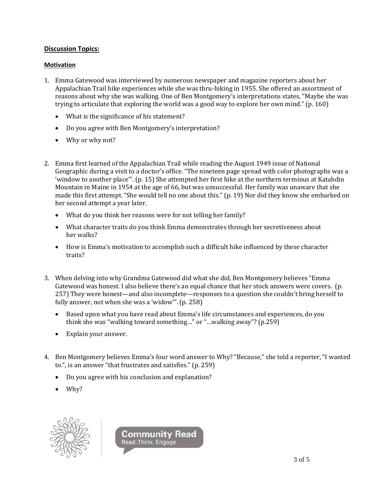# **Discussion Topics:**

# **Motivation**

- 1. Emma Gatewood was interviewed by numerous newspaper and magazine reporters about her Appalachian Trail hike experiences while she was thru-hiking in 1955. She offered an assortment of reasons about why she was walking. One of Ben Montgomery's interpretations states, "Maybe she was trying to articulate that exploring the world was a good way to explore her own mind." (p. 160)
	- What is the significance of his statement?
	- Do you agree with Ben Montgomery's interpretation?
	- Why or why not?
- 2. Emma first learned of the Appalachian Trail while reading the August 1949 issue of National Geographic during a visit to a doctor's office. "The nineteen page spread with color photographs was a 'window to another place'". (p. 15) She attempted her first hike at the northern terminus at Katahdin Mountain in Maine in 1954 at the age of 66, but was unsuccessful. Her family was unaware that she made this first attempt. "She would tell no one about this." (p. 19) Nor did they know she embarked on her second attempt a year later.
	- What do you think her reasons were for not telling her family?
	- What character traits do you think Emma demonstrates through her secretiveness about her walks?
	- How is Emma's motivation to accomplish such a difficult hike influenced by these character traits?
- 3. When delving into why Grandma Gatewood did what she did, Ben Montgomery believes "Emma Gatewood was honest. I also believe there's an equal chance that her stock answers were covers. (p. 257) They were honest—and also incomplete—responses to a question she couldn't bring herself to fully answer, not when she was a 'widow'". (p. 258)
	- Based upon what you have read about Emma's life circumstances and experiences, do you think she was "walking toward something…" or "…walking away"? (p.259)
	- Explain your answer.
- 4. Ben Montgomery believes Emma's four word answer to Why? "Because," she told a reporter, "I wanted to.", is an answer "that frustrates and satisfies." (p. 259)
	- Do you agree with his conclusion and explanation?
	- Why?



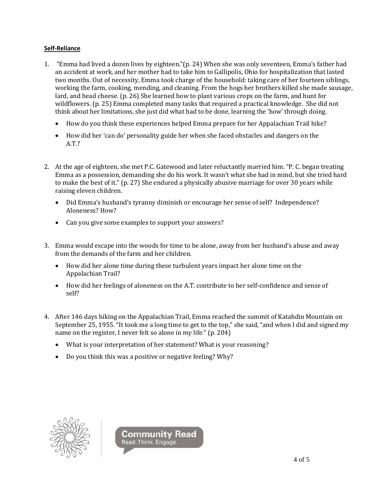# **Self-Reliance**

- 1. "Emma had lived a dozen lives by eighteen."(p. 24) When she was only seventeen, Emma's father had an accident at work, and her mother had to take him to Gallipolis, Ohio for hospitalization that lasted two months. Out of necessity, Emma took charge of the household: taking care of her fourteen siblings, working the farm, cooking, mending, and cleaning. From the hogs her brothers killed she made sausage, lard, and head cheese. (p. 26) She learned how to plant various crops on the farm, and hunt for wildflowers. (p. 25) Emma completed many tasks that required a practical knowledge. She did not think about her limitations, she just did what had to be done, learning the 'how' through doing.
	- How do you think these experiences helped Emma prepare for her Appalachian Trail hike?
	- How did her 'can do' personality guide her when she faced obstacles and dangers on the A.T.?
- 2. At the age of eighteen, she met P.C. Gatewood and later reluctantly married him. "P. C. began treating Emma as a possession, demanding she do his work. It wasn't what she had in mind, but she tried hard to make the best of it." (p. 27) She endured a physically abusive marriage for over 30 years while raising eleven children.
	- Did Emma's husband's tyranny diminish or encourage her sense of self? Independence? Aloneness? How?
	- Can you give some examples to support your answers?
- 3. Emma would escape into the woods for time to be alone, away from her husband's abuse and away from the demands of the farm and her children.
	- How did her alone time during these turbulent years impact her alone time on the Appalachian Trail?
	- How did her feelings of aloneness on the A.T. contribute to her self-confidence and sense of self?
- 4. After 146 days hiking on the Appalachian Trail, Emma reached the summit of Katahdin Mountain on September 25, 1955. "It took me a long time to get to the top," she said, "and when I did and signed my name on the register, I never felt so alone in my life." (p. 204)
	- What is your interpretation of her statement? What is your reasoning?
	- Do you think this was a positive or negative feeling? Why?